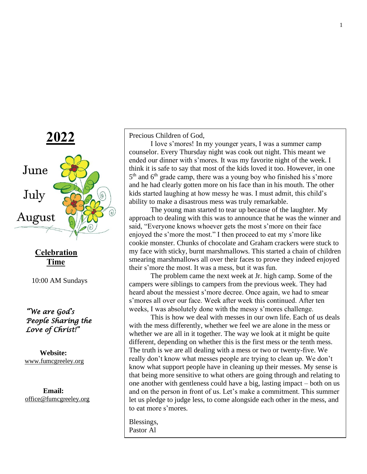

**Celebration Time**

10:00 AM Sundays

 *"We are God's People Sharing the Love of Christ!"* 

 **Website:** [www.fumcgreeley.org](http://www.fumcgreeley.org/)

 **Email:** [office@fumcgreeley.org](mailto:office@fumcgreeley.org) Precious Children of God,

I love s'mores! In my younger years, I was a summer camp counselor. Every Thursday night was cook out night. This meant we ended our dinner with s'mores. It was my favorite night of the week. I think it is safe to say that most of the kids loved it too. However, in one 5<sup>th</sup> and 6<sup>th</sup> grade camp, there was a young boy who finished his s'more and he had clearly gotten more on his face than in his mouth. The other kids started laughing at how messy he was. I must admit, this child's ability to make a disastrous mess was truly remarkable.

The young man started to tear up because of the laughter. My approach to dealing with this was to announce that he was the winner and said, "Everyone knows whoever gets the most s'more on their face enjoyed the s'more the most." I then proceed to eat my s'more like cookie monster. Chunks of chocolate and Graham crackers were stuck to my face with sticky, burnt marshmallows. This started a chain of children smearing marshmallows all over their faces to prove they indeed enjoyed their s'more the most. It was a mess, but it was fun.

The problem came the next week at Jr. high camp. Some of the campers were siblings to campers from the previous week. They had heard about the messiest s'more decree. Once again, we had to smear s'mores all over our face. Week after week this continued. After ten weeks, I was absolutely done with the messy s'mores challenge.

This is how we deal with messes in our own life. Each of us deals with the mess differently, whether we feel we are alone in the mess or whether we are all in it together. The way we look at it might be quite different, depending on whether this is the first mess or the tenth mess. The truth is we are all dealing with a mess or two or twenty-five. We really don't know what messes people are trying to clean up. We don't know what support people have in cleaning up their messes. My sense is that being more sensitive to what others are going through and relating to one another with gentleness could have a big, lasting impact – both on us and on the person in front of us. Let's make a commitment. This summer let us pledge to judge less, to come alongside each other in the mess, and to eat more s'mores.

Blessings, Pastor Al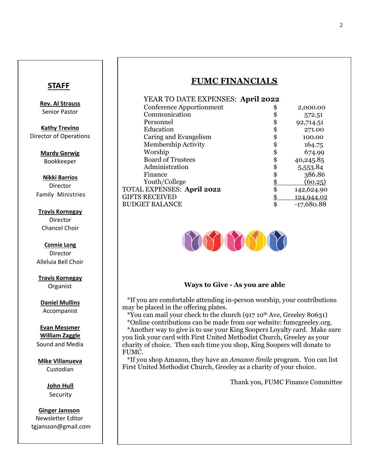## **STAFF**

**Rev. Al Strauss** Senior Pastor

**Kathy Trevino** Director of Operations

> **Mardy Gerwig** Bookkeeper

#### **Nikki Barrios** Director

Family Ministries

#### **Travis Kornegay**

Director Chancel Choir

**Connie Long** Director Alleluia Bell Choir

**Travis Kornegay** Organist

**Daniel Mullins** Accompanist

#### **Evan Messmer William Zaggle**

Sound and Media

### **Mike Villanueva** Custodian

**John Hull** Security

 **Ginger Jansson** Newsletter Editor tgjansson@gmail.com

# **FUMC FINANCIALS**

| YEAR TO DATE EXPENSES: April 2022 |    |              |
|-----------------------------------|----|--------------|
| Conference Apportionment          | S  | 2,000.00     |
| Communication                     |    | 572.51       |
| Personnel                         | \$ | 92,714.51    |
| Education                         | \$ | 271.00       |
| Caring and Evangelism             | \$ | 100.00       |
| Membership Activity               |    | 164.75       |
| Worship                           | \$ | 674.99       |
| <b>Board of Trustees</b>          | \$ | 40,245.85    |
| Administration                    |    | 5,553.84     |
| Finance                           |    | 386.86       |
| Youth/College                     | \$ | (60.25)      |
| TOTAL EXPENSES: April 2022        | \$ | 142,624.90   |
| <b>GIFTS RECEIVED</b>             |    | 124,944.02   |
| <b>BUDGET BALANCE</b>             | \$ | $-17,680.88$ |



### **Ways to Give - As you are able**

 \*If you are comfortable attending in-person worship, your contributions may be placed in the offering plates.

\*You can mail your check to the church (917 10th Ave, Greeley 80631)

FUMC. \*Online contributions can be made from our website: fumcgreeley.org. \*Another way to give is to use your King Soopers Loyalty card. Make sure you link your card with First United Methodist Church, Greeley as your charity of choice. Then each time you shop, King Soopers will donate to

\*If you shop Amazon, they have an *Amazon Smile* program. You can list First United Methodist Church, Greeley as a charity of your choice.

Thank you, FUMC Finance Committee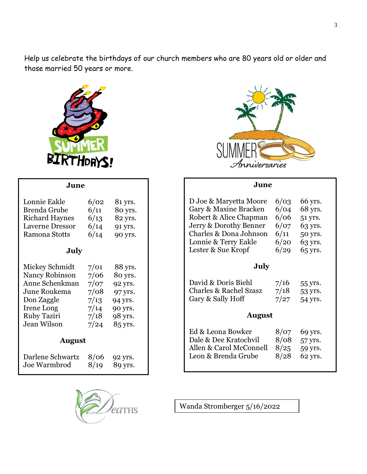Help us celebrate the birthdays of our church members who are 80 years old or older and those married 50 years or more.



**June**



#### **June**

| Lonnie Eakle<br>Brenda Grube<br>Richard Haynes 6/13<br>Laverne Dressor 6/14 91 yrs.<br>Ramona Stotts                                                                             | 6/02<br>6/11 | 81 yrs.<br>80 yrs.<br>82 yrs.<br>$6/14$ 90 yrs.                      |  |
|----------------------------------------------------------------------------------------------------------------------------------------------------------------------------------|--------------|----------------------------------------------------------------------|--|
| July                                                                                                                                                                             |              |                                                                      |  |
| Mickey Schmidt 7/01 88 yrs.<br>Nancy Robinson 7/06 80 yrs.<br>Anne Schenkman 7/07 92 yrs.<br>June Roukema 7/08 97 yrs.<br>Don Zaggle<br>Irene Long<br>Ruby Taziri<br>Jean Wilson |              | $7/13$ 94 yrs.<br>$7/14$ 90 yrs.<br>$7/18$ 98 yrs.<br>$7/24$ 85 yrs. |  |
| <b>August</b>                                                                                                                                                                    |              |                                                                      |  |
| Darlene Schwartz 8/06 92 yrs.<br>Joe Warmbrod                                                                                                                                    |              | $8/19$ 89 yrs.                                                       |  |





Wanda Stromberger 5/16/2022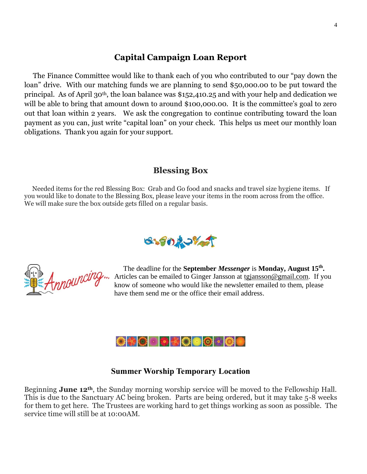# **Capital Campaign Loan Report**

 The Finance Committee would like to thank each of you who contributed to our "pay down the loan" drive. With our matching funds we are planning to send \$50,000.00 to be put toward the principal. As of April 30th, the loan balance was \$152,410.25 and with your help and dedication we will be able to bring that amount down to around \$100,000.00. It is the committee's goal to zero out that loan within 2 years. We ask the congregation to continue contributing toward the loan payment as you can, just write "capital loan" on your check. This helps us meet our monthly loan obligations. Thank you again for your support.

# **Blessing Box**

 Needed items for the red Blessing Box: Grab and Go food and snacks and travel size hygiene items. If you would like to donate to the Blessing Box, please leave your items in the room across from the office. We will make sure the box outside gets filled on a regular basis.





 The deadline for the **September** *Messenger* is **Monday, August 15th .**  Articles can be emailed to Ginger Jansson at [tgjansson@gmail.com.](mailto:tgjansson@gmail.com) If you know of someone who would like the newsletter emailed to them, please have them send me or the office their email address.



### **Summer Worship Temporary Location**

Beginning **June 12th**, the Sunday morning worship service will be moved to the Fellowship Hall. This is due to the Sanctuary AC being broken. Parts are being ordered, but it may take 5-8 weeks for them to get here. The Trustees are working hard to get things working as soon as possible. The service time will still be at 10:00AM.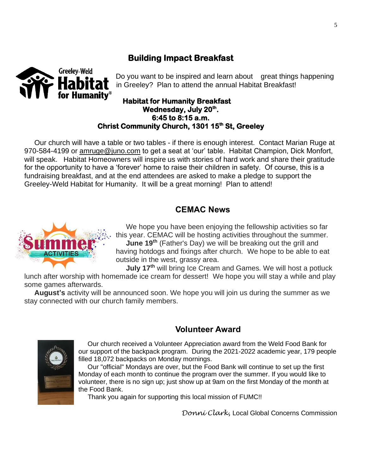# **Building Impact Breakfast**



Do you want to be inspired and learn about great things happening in Greeley? Plan to attend the annual Habitat Breakfast!

### **Habitat for Humanity Breakfast Wednesday, July 20th . 6:45 to 8:15 a.m. Christ Community Church, 1301 15th St, Greeley**

 Our church will have a table or two tables - if there is enough interest. Contact Marian Ruge at 970-584-4199 or amruge @juno.com to get a seat at 'our' table. Habitat Champion, Dick Monfort, will speak. Habitat Homeowners will inspire us with stories of hard work and share their gratitude for the opportunity to have a 'forever' home to raise their children in safety. Of course, this is a fundraising breakfast, and at the end attendees are asked to make a pledge to support the Greeley-Weld Habitat for Humanity. It will be a great morning! Plan to attend!

# **CEMAC News**



 We hope you have been enjoying the fellowship activities so far this year. CEMAC will be hosting activities throughout the summer. **June 19th** (Father's Day) we will be breaking out the grill and having hotdogs and fixings after church. We hope to be able to eat outside in the west, grassy area.

**July 17th** will bring Ice Cream and Games. We will host a potluck

lunch after worship with homemade ice cream for dessert! We hope you will stay a while and play some games afterwards.

 **August's** activity will be announced soon. We hope you will join us during the summer as we stay connected with our church family members.

 **Volunteer Award**

 Our church received a Volunteer Appreciation award from the Weld Food Bank for our support of the backpack program. During the 2021-2022 academic year, 179 people filled 18,072 backpacks on Monday mornings.

 Our "official" Mondays are over, but the Food Bank will continue to set up the first Monday of each month to continue the program over the summer. If you would like to volunteer, there is no sign up; just show up at 9am on the first Monday of the month at the Food Bank.

Thank you again for supporting this local mission of FUMC!!

*Donni Clark,* Local Global Concerns Commission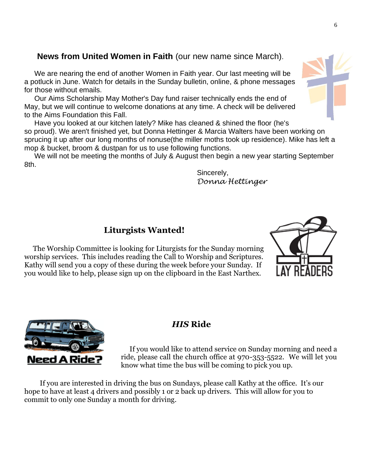# **News from United Women in Faith** (our new name since March).

 We are nearing the end of another Women in Faith year. Our last meeting will be a potluck in June. Watch for details in the Sunday bulletin, online, & phone messages for those without emails.

 Our Aims Scholarship May Mother's Day fund raiser technically ends the end of May, but we will continue to welcome donations at any time. A check will be delivered to the Aims Foundation this Fall.

 Have you looked at our kitchen lately? Mike has cleaned & shined the floor (he's so proud). We aren't finished yet, but Donna Hettinger & Marcia Walters have been working on sprucing it up after our long months of nonuse(the miller moths took up residence). Mike has left a mop & bucket, broom & dustpan for us to use following functions.

We will not be meeting the months of July & August then begin a new year starting September 8th.

> Sincerely, *Donna Hettinger*

# **Liturgists Wanted!**

 The Worship Committee is looking for Liturgists for the Sunday morning worship services. This includes reading the Call to Worship and Scriptures. Kathy will send you a copy of these during the week before your Sunday. If you would like to help, please sign up on the clipboard in the East Narthex.



 If you would like to attend service on Sunday morning and need a ride, please call the church office at 970-353-5522. We will let you know what time the bus will be coming to pick you up.

 If you are interested in driving the bus on Sundays, please call Kathy at the office. It's our hope to have at least 4 drivers and possibly 1 or 2 back up drivers. This will allow for you to commit to only one Sunday a month for driving.





6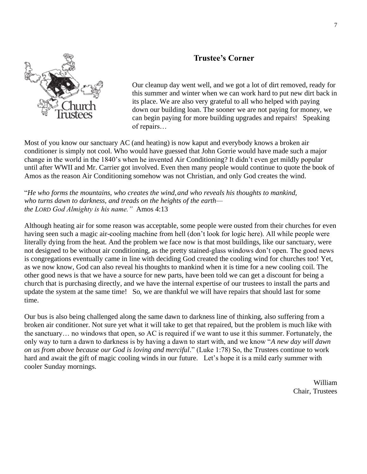# **Trustee's Corner**



Our cleanup day went well, and we got a lot of dirt removed, ready for this summer and winter when we can work hard to put new dirt back in its place. We are also very grateful to all who helped with paying down our building loan. The sooner we are not paying for money, we can begin paying for more building upgrades and repairs! Speaking of repairs…

Most of you know our sanctuary AC (and heating) is now kaput and everybody knows a broken air conditioner is simply not cool. Who would have guessed that John Gorrie would have made such a major change in the world in the 1840's when he invented Air Conditioning? It didn't even get mildly popular until after WWII and Mr. Carrier got involved. Even then many people would continue to quote the book of Amos as the reason Air Conditioning somehow was not Christian, and only God creates the wind.

"*He who forms the mountains, who creates the wind,and who reveals his thoughts to mankind, who turns dawn to darkness, and treads on the heights of the earth the LORD God Almighty is his name."* Amos 4:13

Although heating air for some reason was acceptable, some people were ousted from their churches for even having seen such a magic air-cooling machine from hell (don't look for logic here). All while people were literally dying from the heat. And the problem we face now is that most buildings, like our sanctuary, were not designed to be without air conditioning, as the pretty stained-glass windows don't open. The good news is congregations eventually came in line with deciding God created the cooling wind for churches too! Yet, as we now know, God can also reveal his thoughts to mankind when it is time for a new cooling coil. The other good news is that we have a source for new parts, have been told we can get a discount for being a church that is purchasing directly, and we have the internal expertise of our trustees to install the parts and update the system at the same time! So, we are thankful we will have repairs that should last for some time.

Our bus is also being challenged along the same dawn to darkness line of thinking, also suffering from a broken air conditioner. Not sure yet what it will take to get that repaired, but the problem is much like with the sanctuary… no windows that open, so AC is required if we want to use it this summer. Fortunately, the only way to turn a dawn to darkness is by having a dawn to start with, and we know "*A new day will dawn on us from above because our God is loving and merciful*." (Luke 1:78) So, the Trustees continue to work hard and await the gift of magic cooling winds in our future. Let's hope it is a mild early summer with cooler Sunday mornings.

> William Chair, Trustees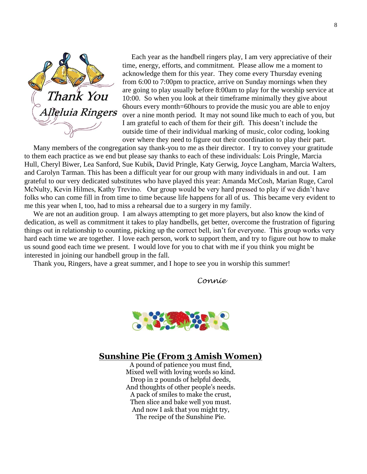

 Each year as the handbell ringers play, I am very appreciative of their time, energy, efforts, and commitment. Please allow me a moment to acknowledge them for this year. They come every Thursday evening from 6:00 to 7:00pm to practice, arrive on Sunday mornings when they are going to play usually before 8:00am to play for the worship service at 10:00. So when you look at their timeframe minimally they give about 6hours every month=60hours to provide the music you are able to enjoy over a nine month period. It may not sound like much to each of you, but I am grateful to each of them for their gift. This doesn't include the outside time of their individual marking of music, color coding, looking over where they need to figure out their coordination to play their part.

 Many members of the congregation say thank-you to me as their director. I try to convey your gratitude to them each practice as we end but please say thanks to each of these individuals: Lois Pringle, Marcia Hull, Cheryl Biwer, Lea Sanford, Sue Kubik, David Pringle, Katy Gerwig, Joyce Langham, Marcia Walters, and Carolyn Tarman. This has been a difficult year for our group with many individuals in and out. I am grateful to our very dedicated substitutes who have played this year: Amanda McCosh, Marian Ruge, Carol McNulty, Kevin Hilmes, Kathy Trevino. Our group would be very hard pressed to play if we didn't have folks who can come fill in from time to time because life happens for all of us. This became very evident to me this year when I, too, had to miss a rehearsal due to a surgery in my family.

We are not an audition group. I am always attempting to get more players, but also know the kind of dedication, as well as commitment it takes to play handbells, get better, overcome the frustration of figuring things out in relationship to counting, picking up the correct bell, isn't for everyone. This group works very hard each time we are together. I love each person, work to support them, and try to figure out how to make us sound good each time we present. I would love for you to chat with me if you think you might be interested in joining our handbell group in the fall.

Thank you, Ringers, have a great summer, and I hope to see you in worship this summer!

*Connie*



# **Sunshine Pie (From 3 Amish Women)**

A pound of patience you must find, Mixed well with loving words so kind. Drop in 2 pounds of helpful deeds, And thoughts of other people's needs. A pack of smiles to make the crust, Then slice and bake well you must. And now I ask that you might try, The recipe of the Sunshine Pie.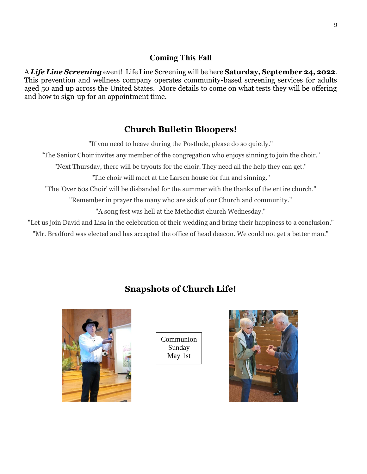## **Coming This Fall**

A *Life Line Screening* event! Life Line Screening will be here **Saturday, September 24, 2022**. This prevention and wellness company operates community-based screening services for adults aged 50 and up across the United States. More details to come on what tests they will be offering and how to sign-up for an appointment time.

# **Church Bulletin Bloopers!**

"If you need to heave during the Postlude, please do so quietly." "The Senior Choir invites any member of the congregation who enjoys sinning to join the choir." "Next Thursday, there will be tryouts for the choir. They need all the help they can get." "The choir will meet at the Larsen house for fun and sinning." "The 'Over 60s Choir' will be disbanded for the summer with the thanks of the entire church." "Remember in prayer the many who are sick of our Church and community." "A song fest was hell at the Methodist church Wednesday." "Let us join David and Lisa in the celebration of their wedding and bring their happiness to a conclusion."

"Mr. Bradford was elected and has accepted the office of head deacon. We could not get a better man."

# **Snapshots of Church Life!**



Communion Sunday May 1st